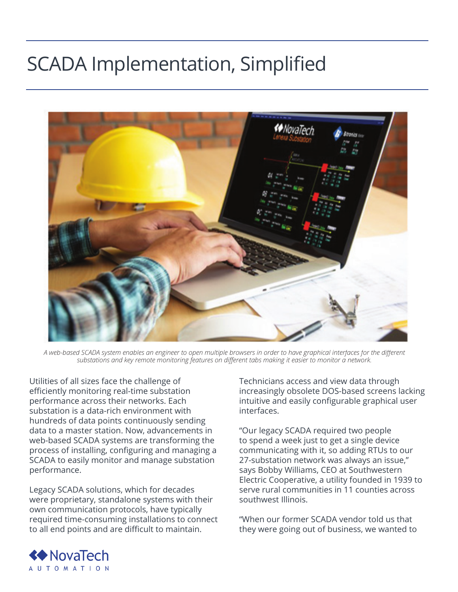## SCADA Implementation, Simplified



*A web-based SCADA system enables an engineer to open multiple browsers in order to have graphical interfaces for the different substations and key remote monitoring features on different tabs making it easier to monitor a network.*

Utilities of all sizes face the challenge of efficiently monitoring real-time substation performance across their networks. Each substation is a data-rich environment with hundreds of data points continuously sending data to a master station. Now, advancements in web-based SCADA systems are transforming the process of installing, configuring and managing a SCADA to easily monitor and manage substation performance.

Legacy SCADA solutions, which for decades were proprietary, standalone systems with their own communication protocols, have typically required time-consuming installations to connect to all end points and are difficult to maintain.

Technicians access and view data through increasingly obsolete DOS-based screens lacking intuitive and easily configurable graphical user interfaces.

"Our legacy SCADA required two people to spend a week just to get a single device communicating with it, so adding RTUs to our 27-substation network was always an issue," says Bobby Williams, CEO at Southwestern Electric Cooperative, a utility founded in 1939 to serve rural communities in 11 counties across southwest Illinois.

"When our former SCADA vendor told us that they were going out of business, we wanted to

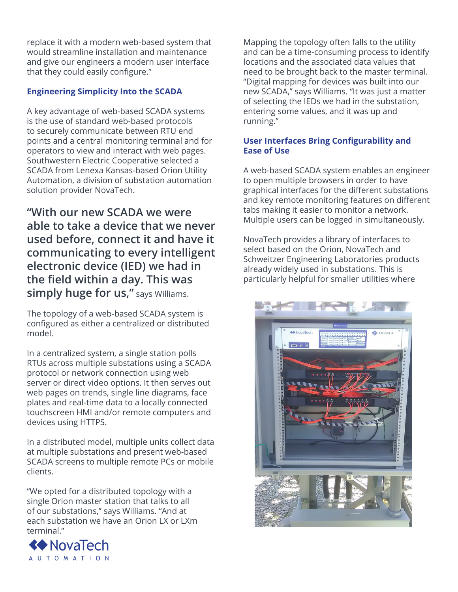replace it with a modern web-based system that would streamline installation and maintenance and give our engineers a modern user interface that they could easily configure."

## **Engineering Simplicity Into the SCADA**

A key advantage of web-based SCADA systems is the use of standard web-based protocols to securely communicate between RTU end points and a central monitoring terminal and for operators to view and interact with web pages. Southwestern Electric Cooperative selected a SCADA from Lenexa Kansas-based Orion Utility Automation, a division of substation automation solution provider NovaTech.

**"With our new SCADA we were able to take a device that we never used before, connect it and have it communicating to every intelligent electronic device (IED) we had in the field within a day. This was simply huge for us,"** says Williams.

The topology of a web-based SCADA system is configured as either a centralized or distributed model.

In a centralized system, a single station polls RTUs across multiple substations using a SCADA protocol or network connection using web server or direct video options. It then serves out web pages on trends, single line diagrams, face plates and real-time data to a locally connected touchscreen HMI and/or remote computers and devices using HTTPS.

In a distributed model, multiple units collect data at multiple substations and present web-based SCADA screens to multiple remote PCs or mobile clients.

"We opted for a distributed topology with a single Orion master station that talks to all of our substations," says Williams. "And at each substation we have an Orion LX or LXm terminal."



Mapping the topology often falls to the utility and can be a time-consuming process to identify locations and the associated data values that need to be brought back to the master terminal. "Digital mapping for devices was built into our new SCADA," says Williams. "It was just a matter of selecting the IEDs we had in the substation, entering some values, and it was up and running."

## **User Interfaces Bring Configurability and Ease of Use**

A web-based SCADA system enables an engineer to open multiple browsers in order to have graphical interfaces for the different substations and key remote monitoring features on different tabs making it easier to monitor a network. Multiple users can be logged in simultaneously.

NovaTech provides a library of interfaces to select based on the Orion, NovaTech and Schweitzer Engineering Laboratories products already widely used in substations. This is particularly helpful for smaller utilities where

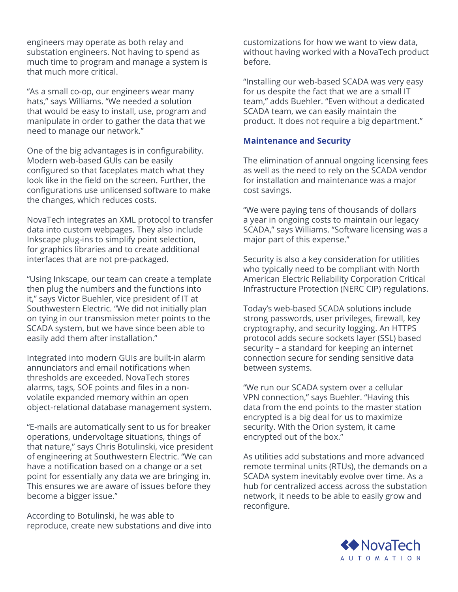engineers may operate as both relay and substation engineers. Not having to spend as much time to program and manage a system is that much more critical.

"As a small co-op, our engineers wear many hats," says Williams. "We needed a solution that would be easy to install, use, program and manipulate in order to gather the data that we need to manage our network."

One of the big advantages is in configurability. Modern web-based GUIs can be easily configured so that faceplates match what they look like in the field on the screen. Further, the configurations use unlicensed software to make the changes, which reduces costs.

NovaTech integrates an XML protocol to transfer data into custom webpages. They also include Inkscape plug-ins to simplify point selection, for graphics libraries and to create additional interfaces that are not pre-packaged.

"Using Inkscape, our team can create a template then plug the numbers and the functions into it," says Victor Buehler, vice president of IT at Southwestern Electric. "We did not initially plan on tying in our transmission meter points to the SCADA system, but we have since been able to easily add them after installation."

Integrated into modern GUIs are built-in alarm annunciators and email notifications when thresholds are exceeded. NovaTech stores alarms, tags, SOE points and files in a nonvolatile expanded memory within an open object-relational database management system.

"E-mails are automatically sent to us for breaker operations, undervoltage situations, things of that nature," says Chris Botulinski, vice president of engineering at Southwestern Electric. "We can have a notification based on a change or a set point for essentially any data we are bringing in. This ensures we are aware of issues before they become a bigger issue."

According to Botulinski, he was able to reproduce, create new substations and dive into

customizations for how we want to view data, without having worked with a NovaTech product before.

"Installing our web-based SCADA was very easy for us despite the fact that we are a small IT team," adds Buehler. "Even without a dedicated SCADA team, we can easily maintain the product. It does not require a big department."

## **Maintenance and Security**

The elimination of annual ongoing licensing fees as well as the need to rely on the SCADA vendor for installation and maintenance was a major cost savings.

"We were paying tens of thousands of dollars a year in ongoing costs to maintain our legacy SCADA," says Williams. "Software licensing was a major part of this expense."

Security is also a key consideration for utilities who typically need to be compliant with North American Electric Reliability Corporation Critical Infrastructure Protection (NERC CIP) regulations.

Today's web-based SCADA solutions include strong passwords, user privileges, firewall, key cryptography, and security logging. An HTTPS protocol adds secure sockets layer (SSL) based security – a standard for keeping an internet connection secure for sending sensitive data between systems.

"We run our SCADA system over a cellular VPN connection," says Buehler. "Having this data from the end points to the master station encrypted is a big deal for us to maximize security. With the Orion system, it came encrypted out of the box."

As utilities add substations and more advanced remote terminal units (RTUs), the demands on a SCADA system inevitably evolve over time. As a hub for centralized access across the substation network, it needs to be able to easily grow and reconfigure.